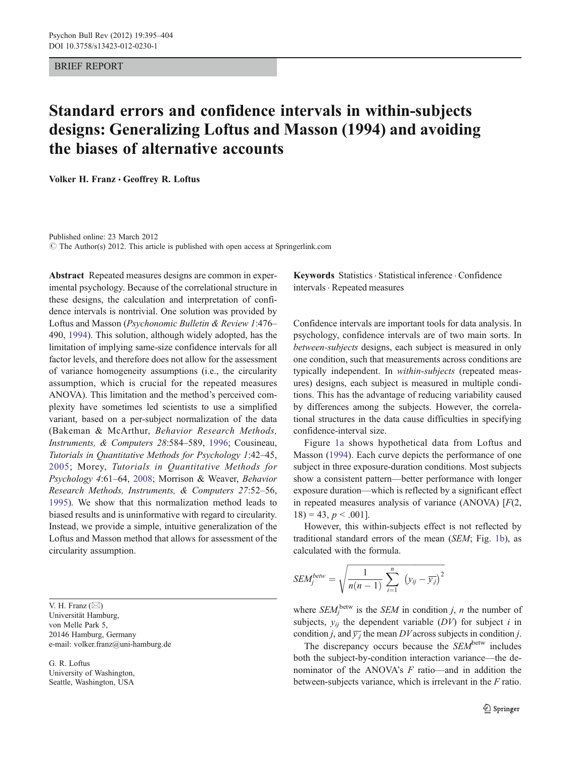## BRIEF REPORT

# Standard errors and confidence intervals in within-subjects designs: Generalizing Loftus and Masson (1994) and avoiding the biases of alternative accounts

Volker H. Franz · Geoffrey R. Loftus

Published online: 23 March 2012  $\odot$  The Author(s) 2012. This article is published with open access at Springerlink.com

Abstract Repeated measures designs are common in experimental psychology. Because of the correlational structure in these designs, the calculation and interpretation of confidence intervals is nontrivial. One solution was provided by Loftus and Masson (Psychonomic Bulletin & Review 1:476– 490, [1994](#page-9-0)). This solution, although widely adopted, has the limitation of implying same-size confidence intervals for all factor levels, and therefore does not allow for the assessment of variance homogeneity assumptions (i.e., the circularity assumption, which is crucial for the repeated measures ANOVA). This limitation and the method's perceived complexity have sometimes led scientists to use a simplified variant, based on a per-subject normalization of the data (Bakeman & McArthur, Behavior Research Methods, Instruments, & Computers 28:584–589, [1996;](#page-9-0) Cousineau, Tutorials in Quantitative Methods for Psychology 1:42–45, [2005;](#page-9-0) Morey, Tutorials in Quantitative Methods for Psychology 4:61–64, [2008](#page-9-0); Morrison & Weaver, Behavior Research Methods, Instruments, & Computers 27:52–56, [1995](#page-9-0)). We show that this normalization method leads to biased results and is uninformative with regard to circularity. Instead, we provide a simple, intuitive generalization of the Loftus and Masson method that allows for assessment of the circularity assumption.

V. H. Franz  $(\boxtimes)$ Universität Hamburg, von Melle Park 5, 20146 Hamburg, Germany e-mail: volker.franz@uni-hamburg.de

G. R. Loftus University of Washington, Seattle, Washington, USA

Keywords Statistics. Statistical inference . Confidence intervals . Repeated measures

Confidence intervals are important tools for data analysis. In psychology, confidence intervals are of two main sorts. In between-subjects designs, each subject is measured in only one condition, such that measurements across conditions are typically independent. In within-subjects (repeated measures) designs, each subject is measured in multiple conditions. This has the advantage of reducing variability caused by differences among the subjects. However, the correlational structures in the data cause difficulties in specifying confidence-interval size.

Figure [1a](#page-1-0) shows hypothetical data from Loftus and Masson [\(1994](#page-9-0)). Each curve depicts the performance of one subject in three exposure-duration conditions. Most subjects show a consistent pattern—better performance with longer exposure duration—which is reflected by a significant effect in repeated measures analysis of variance (ANOVA) [F(2,  $18$ ) = 43, p < .001].

However, this within-subjects effect is not reflected by traditional standard errors of the mean (SEM; Fig. [1b](#page-1-0)), as calculated with the formula.

$$
SEM_j^{betw} = \sqrt{\frac{1}{n(n-1)}\sum_{i=1}^n (y_{ij} - \overline{y_j})^2}
$$

where  $SEM_j^{\text{bctw}}$  is the *SEM* in condition *j*, *n* the number of subjects,  $y_{ii}$  the dependent variable (DV) for subject i in condition *j*, and  $\overline{y_j}$  the mean DV across subjects in condition *j*.

The discrepancy occurs because the  $SEM$ <sup>betw</sup> includes both the subject-by-condition interaction variance—the denominator of the ANOVA's F ratio—and in addition the between-subjects variance, which is irrelevant in the F ratio.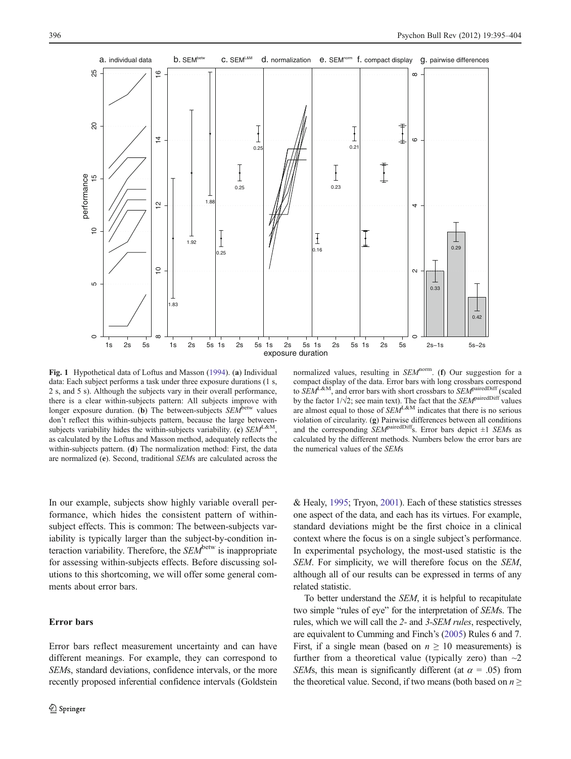<span id="page-1-0"></span>

Fig. 1 Hypothetical data of Loftus and Masson [\(1994](#page-9-0)). (a) Individual data: Each subject performs a task under three exposure durations (1 s, 2 s, and 5 s). Although the subjects vary in their overall performance, there is a clear within-subjects pattern: All subjects improve with longer exposure duration. (b) The between-subjects  $SEM^{\text{between}}$  values don't reflect this within-subjects pattern, because the large betweensubjects variability hides the within-subjects variability. (c)  $SEM^{L&M}$ , as calculated by the Loftus and Masson method, adequately reflects the within-subjects pattern. (d) The normalization method: First, the data are normalized (e). Second, traditional SEMs are calculated across the

normalized values, resulting in  $SEM<sup>norm</sup>$ . (f) Our suggestion for a compact display of the data. Error bars with long crossbars correspond to SEM<sup>L&M</sup>, and error bars with short crossbars to SEM<sup>pairedDiff</sup> (scaled by the factor  $1/\sqrt{2}$ ; see main text). The fact that the *SEM*<sup>pairedDiff</sup> values are almost equal to those of  $SEM^{L&M}$  indicates that there is no serious violation of circularity. (g) Pairwise differences between all conditions and the corresponding  $SEM^{\text{airedDiff}}$ s. Error bars depict  $\pm 1$  *SEMs* as calculated by the different methods. Numbers below the error bars are the numerical values of the SEMs

In our example, subjects show highly variable overall performance, which hides the consistent pattern of withinsubject effects. This is common: The between-subjects variability is typically larger than the subject-by-condition interaction variability. Therefore, the  $SEM^{\text{between}}$  is inappropriate for assessing within-subjects effects. Before discussing solutions to this shortcoming, we will offer some general comments about error bars.

## Error bars

Error bars reflect measurement uncertainty and can have different meanings. For example, they can correspond to SEMs, standard deviations, confidence intervals, or the more recently proposed inferential confidence intervals (Goldstein

& Healy, [1995](#page-9-0); Tryon, [2001\)](#page-9-0). Each of these statistics stresses one aspect of the data, and each has its virtues. For example, standard deviations might be the first choice in a clinical context where the focus is on a single subject's performance. In experimental psychology, the most-used statistic is the SEM. For simplicity, we will therefore focus on the SEM, although all of our results can be expressed in terms of any related statistic.

To better understand the SEM, it is helpful to recapitulate two simple "rules of eye" for the interpretation of SEMs. The rules, which we will call the 2- and 3-SEM rules, respectively, are equivalent to Cumming and Finch's ([2005](#page-9-0)) Rules 6 and 7. First, if a single mean (based on  $n \geq 10$  measurements) is further from a theoretical value (typically zero) than  $\sim$ 2 SEMs, this mean is significantly different (at  $\alpha = .05$ ) from the theoretical value. Second, if two means (both based on  $n \geq$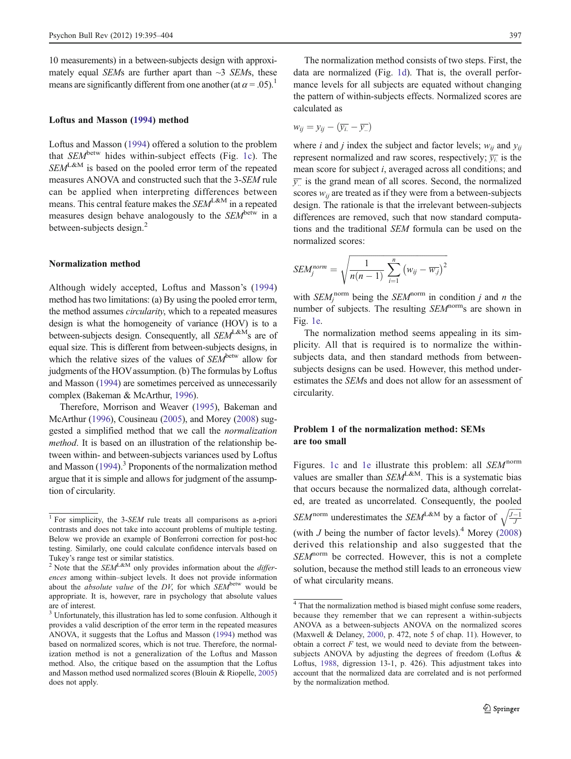10 measurements) in a between-subjects design with approximately equal SEMs are further apart than  $\sim$ 3 SEMs, these means are significantly different from one another (at  $\alpha = .05$ ).<sup>1</sup>

#### Loftus and Masson [\(1994](#page-9-0)) method

Loftus and Masson [\(1994](#page-9-0)) offered a solution to the problem that  $SEM$ <sup>betw</sup> hides within-subject effects (Fig. [1c](#page-1-0)). The  $SEM^{L&M}$  is based on the pooled error term of the repeated measures ANOVA and constructed such that the 3-SEM rule can be applied when interpreting differences between means. This central feature makes the  $SEM^{L&M}$  in a repeated measures design behave analogously to the  $SEM^{\text{betw}}$  in a between-subjects design.<sup>2</sup>

## Normalization method

Although widely accepted, Loftus and Masson's [\(1994\)](#page-9-0) method has two limitations: (a) By using the pooled error term, the method assumes circularity, which to a repeated measures design is what the homogeneity of variance (HOV) is to a between-subjects design. Consequently, all  $SEM^{L&M}$ s are of equal size. This is different from between-subjects designs, in which the relative sizes of the values of  $SEM^{\text{between}}$  allow for judgments of the HOVassumption. (b) The formulas by Loftus and Masson ([1994\)](#page-9-0) are sometimes perceived as unnecessarily complex (Bakeman & McArthur, [1996\)](#page-9-0).

Therefore, Morrison and Weaver ([1995\)](#page-9-0), Bakeman and McArthur ([1996](#page-9-0)), Cousineau [\(2005\)](#page-9-0), and Morey ([2008](#page-9-0)) suggested a simplified method that we call the normalization method. It is based on an illustration of the relationship between within- and between-subjects variances used by Loftus and Masson  $(1994)$ .<sup>3</sup> Proponents of the normalization method argue that it is simple and allows for judgment of the assumption of circularity.

The normalization method consists of two steps. First, the data are normalized (Fig. [1d](#page-1-0)). That is, the overall performance levels for all subjects are equated without changing the pattern of within-subjects effects. Normalized scores are calculated as

$$
w_{ij} = y_{ij} - (\overline{y_{i.}} - \overline{y_{..}})
$$

where *i* and *j* index the subject and factor levels;  $w_{ij}$  and  $y_{ij}$ represent normalized and raw scores, respectively;  $\overline{y_i}$  is the mean score for subject i, averaged across all conditions; and  $\overline{y}$  is the grand mean of all scores. Second, the normalized scores  $w_{ii}$  are treated as if they were from a between-subjects design. The rationale is that the irrelevant between-subjects differences are removed, such that now standard computations and the traditional SEM formula can be used on the normalized scores:

$$
SEM_j^{norm} = \sqrt{\frac{1}{n(n-1)}\sum_{i=1}^n (w_{ij} - \overline{w_j})^2}
$$

with  $SEM_j^{\text{norm}}$  being the  $SEM_j^{\text{norm}}$  in condition j and n the number of subjects. The resulting SEM<sup>norm</sup>s are shown in Fig. [1e](#page-1-0).

The normalization method seems appealing in its simplicity. All that is required is to normalize the withinsubjects data, and then standard methods from betweensubjects designs can be used. However, this method underestimates the SEMs and does not allow for an assessment of circularity.

## Problem 1 of the normalization method: SEMs are too small

Figures. [1c](#page-1-0) and [1e](#page-1-0) illustrate this problem: all  $SEM<sup>norm</sup>$ values are smaller than  $SEM^{L&M}$ . This is a systematic bias that occurs because the normalized data, although correlated, are treated as uncorrelated. Consequently, the pooled SEM<sup>norm</sup> underestimates the SEM<sup>L&M</sup> by a factor of  $\sqrt{\frac{J-1}{J}}$ (with  $J$  being the number of factor levels).<sup>4</sup> Morey [\(2008](#page-9-0)) derived this relationship and also suggested that the  $SEM<sup>norm</sup>$  be corrected. However, this is not a complete solution, because the method still leads to an erroneous view of what circularity means.

<sup>&</sup>lt;sup>1</sup> For simplicity, the 3-SEM rule treats all comparisons as a-priori contrasts and does not take into account problems of multiple testing. Below we provide an example of Bonferroni correction for post-hoc testing. Similarly, one could calculate confidence intervals based on Tukey's range test or similar statistics.<br><sup>2</sup> Note that the  $SEM^{\text{L@M}}$  only provides information about the *differ*-

ences among within–subject levels. It does not provide information about the *absolute value* of the  $DY$ , for which  $SEM^{\text{between}}$  would be appropriate. It is, however, rare in psychology that absolute values are of interest.

<sup>&</sup>lt;sup>3</sup> Unfortunately, this illustration has led to some confusion. Although it provides a valid description of the error term in the repeated measures ANOVA, it suggests that the Loftus and Masson [\(1994](#page-9-0)) method was based on normalized scores, which is not true. Therefore, the normalization method is not a generalization of the Loftus and Masson method. Also, the critique based on the assumption that the Loftus and Masson method used normalized scores (Blouin & Riopelle, [2005](#page-9-0)) does not apply.

<sup>4</sup> That the normalization method is biased might confuse some readers, because they remember that we can represent a within-subjects ANOVA as a between-subjects ANOVA on the normalized scores (Maxwell & Delaney, [2000](#page-9-0), p. 472, note 5 of chap. 11). However, to obtain a correct  $F$  test, we would need to deviate from the betweensubjects ANOVA by adjusting the degrees of freedom (Loftus & Loftus, [1988](#page-9-0), digression 13-1, p. 426). This adjustment takes into account that the normalized data are correlated and is not performed by the normalization method.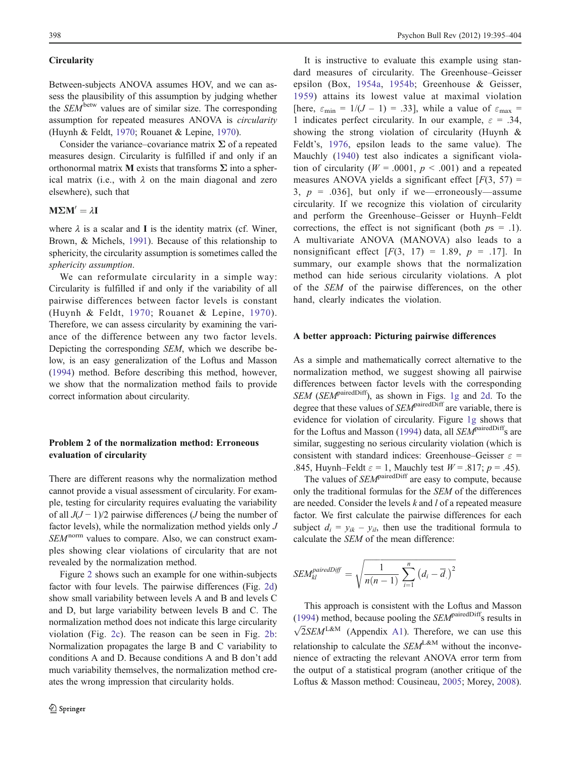## **Circularity**

Between-subjects ANOVA assumes HOV, and we can assess the plausibility of this assumption by judging whether the  $SEM$ <sup>betw</sup> values are of similar size. The corresponding assumption for repeated measures ANOVA is circularity (Huynh & Feldt, [1970;](#page-9-0) Rouanet & Lepine, [1970](#page-9-0)).

Consider the variance–covariance matrix  $\Sigma$  of a repeated measures design. Circularity is fulfilled if and only if an orthonormal matrix **M** exists that transforms  $\Sigma$  into a spherical matrix (i.e., with  $\lambda$  on the main diagonal and zero elsewhere), such that

#### $M\Sigma M' = \lambda I$

where  $\lambda$  is a scalar and I is the identity matrix (cf. Winer, Brown, & Michels, [1991](#page-9-0)). Because of this relationship to sphericity, the circularity assumption is sometimes called the sphericity assumption.

We can reformulate circularity in a simple way: Circularity is fulfilled if and only if the variability of all pairwise differences between factor levels is constant (Huynh & Feldt, [1970](#page-9-0); Rouanet & Lepine, [1970\)](#page-9-0). Therefore, we can assess circularity by examining the variance of the difference between any two factor levels. Depicting the corresponding SEM, which we describe below, is an easy generalization of the Loftus and Masson [\(1994](#page-9-0)) method. Before describing this method, however, we show that the normalization method fails to provide correct information about circularity.

## Problem 2 of the normalization method: Erroneous evaluation of circularity

There are different reasons why the normalization method cannot provide a visual assessment of circularity. For example, testing for circularity requires evaluating the variability of all  $J(J-1)/2$  pairwise differences (*J* being the number of factor levels), while the normalization method yields only J  $SEM<sup>norm</sup>$  values to compare. Also, we can construct examples showing clear violations of circularity that are not revealed by the normalization method.

Figure [2](#page-4-0) shows such an example for one within-subjects factor with four levels. The pairwise differences (Fig. [2d\)](#page-4-0) show small variability between levels A and B and levels C and D, but large variability between levels B and C. The normalization method does not indicate this large circularity violation (Fig. [2c](#page-4-0)). The reason can be seen in Fig. [2b](#page-4-0): Normalization propagates the large B and C variability to conditions A and D. Because conditions A and B don't add much variability themselves, the normalization method creates the wrong impression that circularity holds.

It is instructive to evaluate this example using standard measures of circularity. The Greenhouse–Geisser epsilon (Box, [1954a](#page-9-0), [1954b](#page-9-0); Greenhouse & Geisser, [1959](#page-9-0)) attains its lowest value at maximal violation [here,  $\varepsilon_{\min} = 1/(J - 1) = .33$ ], while a value of  $\varepsilon_{\max} =$ 1 indicates perfect circularity. In our example,  $\varepsilon = .34$ , showing the strong violation of circularity (Huynh & Feldt's, [1976](#page-9-0), epsilon leads to the same value). The Mauchly ([1940](#page-9-0)) test also indicates a significant violation of circularity ( $W = .0001$ ,  $p < .001$ ) and a repeated measures ANOVA yields a significant effect  $[F(3, 57) =$ 3,  $p = .036$ , but only if we—erroneously—assume circularity. If we recognize this violation of circularity and perform the Greenhouse–Geisser or Huynh–Feldt corrections, the effect is not significant (both  $ps = .1$ ). A multivariate ANOVA (MANOVA) also leads to a nonsignificant effect  $[F(3, 17) = 1.89, p = .17]$ . In summary, our example shows that the normalization method can hide serious circularity violations. A plot of the SEM of the pairwise differences, on the other hand, clearly indicates the violation.

#### A better approach: Picturing pairwise differences

As a simple and mathematically correct alternative to the normalization method, we suggest showing all pairwise differences between factor levels with the corresponding SEM (SEM<sup>pairedDiff</sup>), as shown in Figs. [1g](#page-1-0) and [2d](#page-4-0). To the degree that these values of *SEM*<sup>pairedDiff</sup> are variable, there is evidence for violation of circularity. Figure [1g](#page-1-0) shows that for the Loftus and Masson ([1994\)](#page-9-0) data, all  $SEM$ <sup>pairedDiff</sup>s are similar, suggesting no serious circularity violation (which is consistent with standard indices: Greenhouse–Geisser  $\varepsilon$  = .845, Huynh–Feldt  $\varepsilon = 1$ , Mauchly test  $W = .817$ ;  $p = .45$ ).

The values of *SEM*<sup>pairedDiff</sup> are easy to compute, because only the traditional formulas for the SEM of the differences are needed. Consider the levels  $k$  and  $l$  of a repeated measure factor. We first calculate the pairwise differences for each subject  $d_i = y_{ik} - y_{il}$ , then use the traditional formula to calculate the SEM of the mean difference:

$$
SEM_{kl}^{pairedDiff} = \sqrt{\frac{1}{n(n-1)} \sum_{i=1}^{n} (d_i - \overline{d}_i)^2}
$$

This approach is consistent with the Loftus and Masson [\(1994](#page-9-0)) method, because pooling the  $SEM$ <sup>pairedDiff</sup>s results in  $\sqrt{2}SEM^{\text{L&M}}$  (Appendix [A1](#page-8-0)). Therefore, we can use this relationship to calculate the  $SEM^{L&M}$  without the inconvenience of extracting the relevant ANOVA error term from the output of a statistical program (another critique of the Loftus & Masson method: Cousineau, [2005;](#page-9-0) Morey, [2008\)](#page-9-0).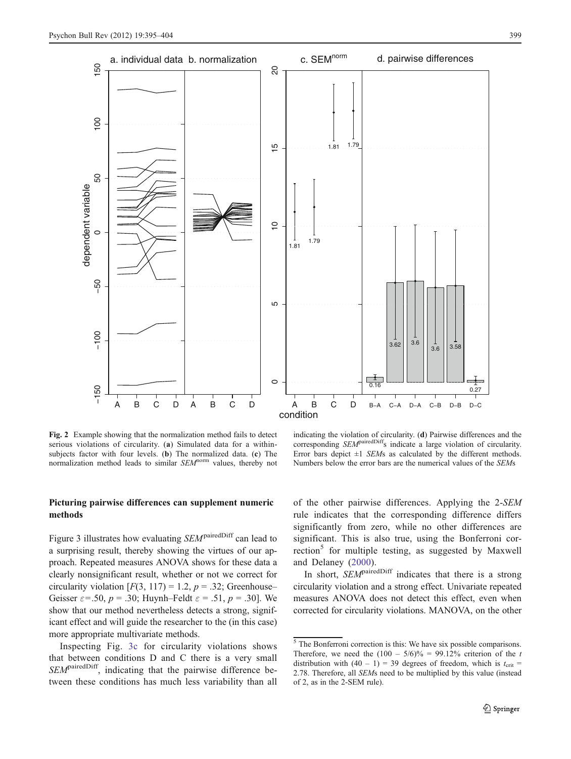<span id="page-4-0"></span>

Fig. 2 Example showing that the normalization method fails to detect serious violations of circularity. (a) Simulated data for a withinsubjects factor with four levels. (b) The normalized data. (c) The normalization method leads to similar SEM<sup>norm</sup> values, thereby not

indicating the violation of circularity. (d) Pairwise differences and the corresponding SEM<sup>pairedDiff</sup>s indicate a large violation of circularity. Error bars depict  $\pm 1$  SEMs as calculated by the different methods. Numbers below the error bars are the numerical values of the SEMs

# Picturing pairwise differences can supplement numeric methods

Figure 3 illustrates how evaluating SEM<sup>pairedDiff</sup> can lead to a surprising result, thereby showing the virtues of our approach. Repeated measures ANOVA shows for these data a clearly nonsignificant result, whether or not we correct for circularity violation  $[F(3, 117) = 1.2, p = .32;$  Greenhouse– Geisser  $\varepsilon$ =.50, p = .30; Huynh–Feldt  $\varepsilon$  = .51, p = .30]. We show that our method nevertheless detects a strong, significant effect and will guide the researcher to the (in this case) more appropriate multivariate methods.

Inspecting Fig. [3c](#page-5-0) for circularity violations shows that between conditions D and C there is a very small SEM<sup>pairedDiff</sup>, indicating that the pairwise difference between these conditions has much less variability than all of the other pairwise differences. Applying the 2-SEM rule indicates that the corresponding difference differs significantly from zero, while no other differences are significant. This is also true, using the Bonferroni correction<sup>5</sup> for multiple testing, as suggested by Maxwell and Delaney ([2000](#page-9-0)).

In short,  $SEM$ <sup>pairedDiff</sup> indicates that there is a strong circularity violation and a strong effect. Univariate repeated measures ANOVA does not detect this effect, even when corrected for circularity violations. MANOVA, on the other

 $\overline{\phantom{a}}$ <sup>5</sup> The Bonferroni correction is this: We have six possible comparisons. Therefore, we need the  $(100 - 5/6)\% = 99.12\%$  criterion of the t distribution with  $(40 - 1) = 39$  degrees of freedom, which is  $t_{\text{crit}} =$ 2.78. Therefore, all SEMs need to be multiplied by this value (instead of 2, as in the 2-SEM rule).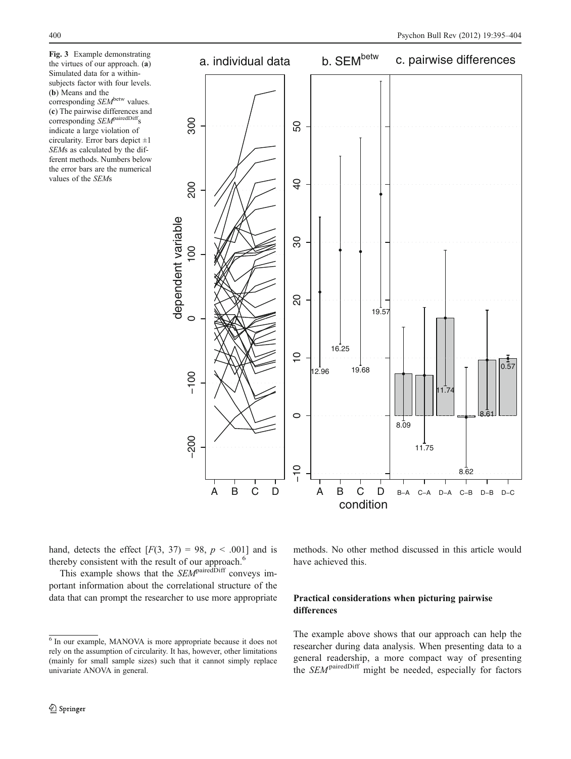<span id="page-5-0"></span>Fig. 3 Example demonstrating the virtues of our approach. (a) Simulated data for a withinsubjects factor with four levels. (b) Means and the corresponding SEM<sup>betw</sup> values. (c) The pairwise differences and corresponding SEM<sup>pairedDiff</sup>s indicate a large violation of circularity. Error bars depict  $\pm 1$ SEMs as calculated by the different methods. Numbers below the error bars are the numerical values of the SEMs



hand, detects the effect  $[F(3, 37) = 98, p < .001]$  and is thereby consistent with the result of our approach.<sup>6</sup>

This example shows that the  $SEM$ <sup>pairedDiff</sup> conveys important information about the correlational structure of the data that can prompt the researcher to use more appropriate methods. No other method discussed in this article would have achieved this.

# Practical considerations when picturing pairwise differences

The example above shows that our approach can help the researcher during data analysis. When presenting data to a general readership, a more compact way of presenting the SEMpairedDiff might be needed, especially for factors

<sup>6</sup> In our example, MANOVA is more appropriate because it does not rely on the assumption of circularity. It has, however, other limitations (mainly for small sample sizes) such that it cannot simply replace univariate ANOVA in general.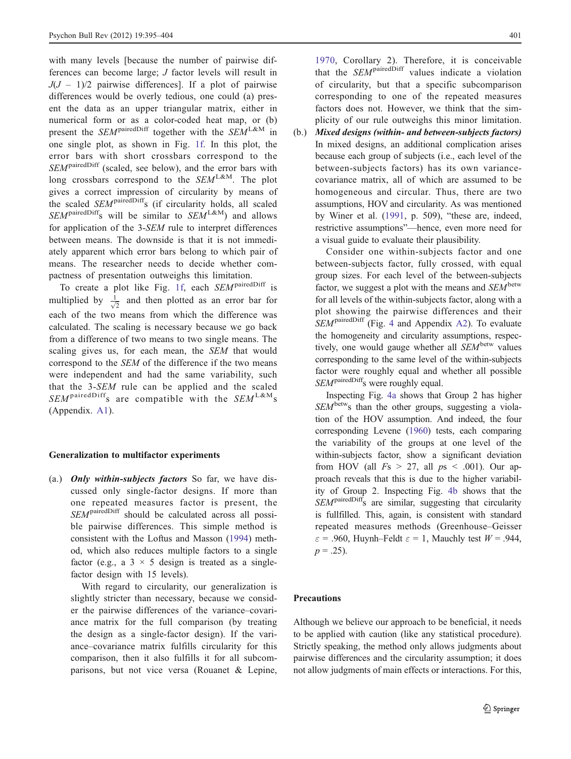with many levels *[because the number of pairwise dif*ferences can become large; J factor levels will result in  $J(J - 1)/2$  pairwise differences]. If a plot of pairwise differences would be overly tedious, one could (a) present the data as an upper triangular matrix, either in numerical form or as a color-coded heat map, or (b) present the  $SEM$ <sup>pairedDiff</sup> together with the  $SEM$ <sup>L&M</sup> in one single plot, as shown in Fig. [1f](#page-1-0). In this plot, the error bars with short crossbars correspond to the  $SEM$ <sup>pairedDiff</sup> (scaled, see below), and the error bars with long crossbars correspond to the  $SEM^{L&M}$ . The plot gives a correct impression of circularity by means of the scaled SEM<sup>pairedDiff</sup>s (if circularity holds, all scaled  $SEM^{\text{pairedDiff}}$ s will be similar to  $SEM^{\text{L&M}}$  and allows for application of the 3-SEM rule to interpret differences between means. The downside is that it is not immediately apparent which error bars belong to which pair of means. The researcher needs to decide whether compactness of presentation outweighs this limitation.

To create a plot like Fig. [1f,](#page-1-0) each SEM<sup>pairedDiff</sup> is multiplied by  $\frac{1}{\sqrt{2}}$  and then plotted as an error bar for each of the two means from which the difference was calculated. The scaling is necessary because we go back from a difference of two means to two single means. The scaling gives us, for each mean, the SEM that would correspond to the SEM of the difference if the two means were independent and had the same variability, such that the 3-SEM rule can be applied and the scaled  $SEM^{\text{pairedDiff}}$ s are compatible with the  $SEM^{\text{L&M}}$ s (Appendix. [A1](#page-8-0)).

## Generalization to multifactor experiments

(a.) **Only within-subjects factors** So far, we have discussed only single-factor designs. If more than one repeated measures factor is present, the SEM<sup>pairedDiff</sup> should be calculated across all possible pairwise differences. This simple method is consistent with the Loftus and Masson [\(1994](#page-9-0)) method, which also reduces multiple factors to a single factor (e.g., a  $3 \times 5$  design is treated as a singlefactor design with 15 levels).

With regard to circularity, our generalization is slightly stricter than necessary, because we consider the pairwise differences of the variance–covariance matrix for the full comparison (by treating the design as a single-factor design). If the variance–covariance matrix fulfills circularity for this comparison, then it also fulfills it for all subcomparisons, but not vice versa (Rouanet & Lepine,

[1970,](#page-9-0) Corollary 2). Therefore, it is conceivable that the  $SEM$ <sup>pairedDiff</sup> values indicate a violation of circularity, but that a specific subcomparison corresponding to one of the repeated measures factors does not. However, we think that the simplicity of our rule outweighs this minor limitation.

(b.) Mixed designs (within- and between-subjects factors) In mixed designs, an additional complication arises because each group of subjects (i.e., each level of the between-subjects factors) has its own variancecovariance matrix, all of which are assumed to be homogeneous and circular. Thus, there are two assumptions, HOV and circularity. As was mentioned by Winer et al. ([1991,](#page-9-0) p. 509), "these are, indeed, restrictive assumptions"—hence, even more need for a visual guide to evaluate their plausibility.

Consider one within-subjects factor and one between-subjects factor, fully crossed, with equal group sizes. For each level of the between-subjects factor, we suggest a plot with the means and  $SEM$ <sup>betw</sup> for all levels of the within-subjects factor, along with a plot showing the pairwise differences and their SEMpairedDiff (Fig. [4](#page-7-0) and Appendix [A2\)](#page-8-0). To evaluate the homogeneity and circularity assumptions, respectively, one would gauge whether all  $SEM^{\text{betw}}$  values corresponding to the same level of the within-subjects factor were roughly equal and whether all possible SEM<sup>pairedDiff</sup>s were roughly equal.

Inspecting Fig. [4a](#page-7-0) shows that Group 2 has higher  $SEM<sup>betw</sup>$  than the other groups, suggesting a violation of the HOV assumption. And indeed, the four corresponding Levene ([1960](#page-9-0)) tests, each comparing the variability of the groups at one level of the within-subjects factor, show a significant deviation from HOV (all  $Fs > 27$ , all  $ps < .001$ ). Our approach reveals that this is due to the higher variability of Group 2. Inspecting Fig. [4b](#page-7-0) shows that the SEM<sup>pairedDiff</sup>s are similar, suggesting that circularity is fullfilled. This, again, is consistent with standard repeated measures methods (Greenhouse–Geisser  $\varepsilon = .960$ , Huynh–Feldt  $\varepsilon = 1$ , Mauchly test  $W = .944$ ,  $p = .25$ ).

#### Precautions

Although we believe our approach to be beneficial, it needs to be applied with caution (like any statistical procedure). Strictly speaking, the method only allows judgments about pairwise differences and the circularity assumption; it does not allow judgments of main effects or interactions. For this,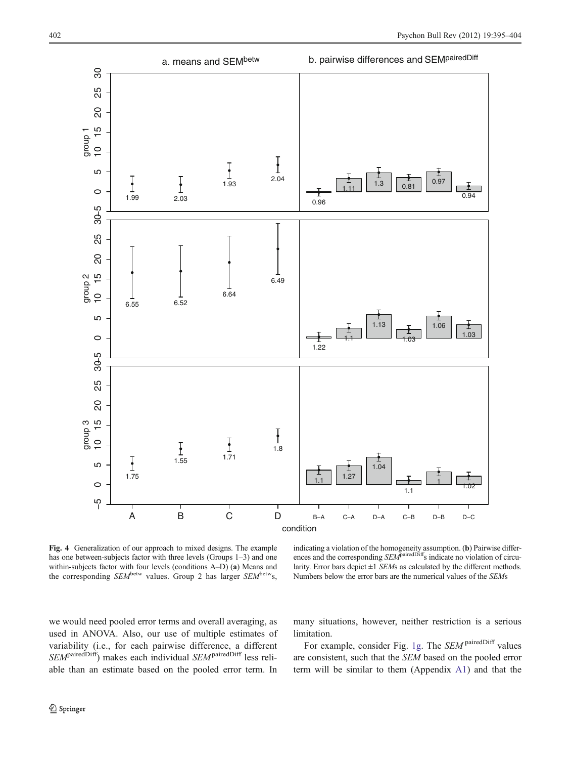<span id="page-7-0"></span>

Fig. 4 Generalization of our approach to mixed designs. The example has one between-subjects factor with three levels (Groups 1–3) and one within-subjects factor with four levels (conditions A–D) (a) Means and the corresponding  $SEM^{\text{betw}}$  values. Group 2 has larger  $SEM^{\text{betw}}$ s,

indicating a violation of the homogeneity assumption. (b) Pairwise differences and the corresponding SEM<sup>pairedDiff</sup>s indicate no violation of circularity. Error bars depict  $\pm 1$  SEMs as calculated by the different methods. Numbers below the error bars are the numerical values of the SEMs

we would need pooled error terms and overall averaging, as used in ANOVA. Also, our use of multiple estimates of variability (i.e., for each pairwise difference, a different  $SEM<sup>pairedDiff</sup>$ ) makes each individual  $SEM<sup>pairedDiff</sup>$  less reliable than an estimate based on the pooled error term. In many situations, however, neither restriction is a serious limitation.

For example, consider Fig. [1g](#page-1-0). The SEM pairedDiff values are consistent, such that the SEM based on the pooled error term will be similar to them (Appendix [A1](#page-8-0)) and that the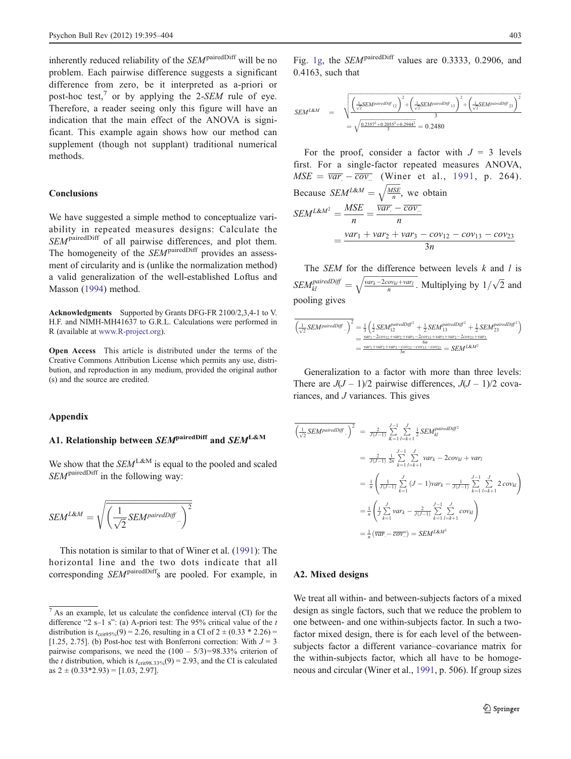<span id="page-8-0"></span>inherently reduced reliability of the SEM<sup>pairedDiff</sup> will be no problem. Each pairwise difference suggests a significant difference from zero, be it interpreted as a-priori or post-hoc test,<sup>7</sup> or by applying the 2-*SEM* rule of eye. Therefore, a reader seeing only this figure will have an indication that the main effect of the ANOVA is significant. This example again shows how our method can supplement (though not supplant) traditional numerical methods.

## **Conclusions**

We have suggested a simple method to conceptualize variability in repeated measures designs: Calculate the SEM<sup>pairedDiff</sup> of all pairwise differences, and plot them. The homogeneity of the SEM<sup>pairedDiff</sup> provides an assessment of circularity and is (unlike the normalization method) a valid generalization of the well-established Loftus and Masson [\(1994](#page-9-0)) method.

Acknowledgments Supported by Grants DFG-FR 2100/2,3,4-1 to V. H.F. and NIMH-MH41637 to G.R.L. Calculations were performed in R (available at [www.R-project.org\)](http://www.R-project.org).

Open Access This article is distributed under the terms of the Creative Commons Attribution License which permits any use, distribution, and reproduction in any medium, provided the original author (s) and the source are credited.

#### Appendix

## A1. Relationship between  $SEM$ <sup>pairedDiff</sup> and  $SEM^{L&M}$

We show that the  $SEM^{L&M}$  is equal to the pooled and scaled SEM<sup>pairedDiff</sup> in the following way:

$$
SEM^{L\&M} = \sqrt{\left(\frac{1}{\sqrt{2}} SEM^{pairedDiff} \right)^2}
$$

This notation is similar to that of Winer et al. [\(1991](#page-9-0)): The horizontal line and the two dots indicate that all corresponding SEM<sup>pairedDiff</sup>s are pooled. For example, in

Fig. [1g](#page-1-0), the *SEM*<sup>pairedDiff</sup> values are 0.3333, 0.2906, and 0.4163, such that

$$
SEM^{L&M} = \sqrt{\frac{\left(\frac{1}{\sqrt{2}} SEM^{pairedDiff}_{12}\right)^2 + \left(\frac{1}{\sqrt{2}} SEM^{pairedDiff}_{13}\right)^2 + \left(\frac{1}{\sqrt{2}} SEM^{pairedDiff}_{23}\right)^2}{3}}
$$
  
=  $\sqrt{\frac{0.2357^2 + 0.2055^2 + 0.2944^2}{3}} = 0.2480$ 

For the proof, consider a factor with  $J = 3$  levels first. For a single-factor repeated measures ANOVA,  $MSE = \overline{var} - \overline{cov}$ . (Winer et al., [1991](#page-9-0), p. 264). Because  $SEM^{L&M} = \sqrt{\frac{MSE}{n}}$ , we obtain  $SEM^{L&M^2} = \frac{MSE}{n} = \frac{\overline{var} - \overline{cov}}{n}$ n  $=\frac{var_1 + var_2 + var_3 - cov_{12} - cov_{13} - cov_{23}}{3n}$ 3n

The *SEM* for the difference between levels  $k$  and  $l$  is  $SEM_{kl}^{pairedDiff} = \sqrt{\frac{var_k - 2cov_{kl} + var_l}{n}}$ . Multiplying by  $1/\sqrt{2}$  and pooling gives

$$
\begin{aligned}\n&\left(\frac{1}{\sqrt{2}}\,SEM^{pairedD\mathit{iff}}\,\right)^2 = \frac{1}{3}\left(\frac{1}{2}\,SEM^{pairedD\mathit{iff}^2}_{12} + \frac{1}{2}\,SEM^{pairedD\mathit{iff}^2}_{13} + \frac{1}{2}\,SEM^{pairedD\mathit{iff}^2}_{23}\right) \\
&= \frac{var_1 - 2cov_{12} + var_2 + var_1 - 2cov_{13} + var_3 + var_2 - 2cov_{23} + var_3}{6n} \\
&= \frac{var_1 + var_2 + var_1 - cov_{13} - cov_{13} - cov_{13} - cov_{23}}{3n} = SEM^{L\&M^2}\n\end{aligned}
$$

Generalization to a factor with more than three levels: There are  $J(J - 1)/2$  pairwise differences,  $J(J - 1)/2$  covariances, and J variances. This gives

$$
\overline{\left(\frac{1}{\sqrt{2}} SEM^{pairedDiff.}\right)^2} = \frac{2}{J(J-1)} \sum_{K=1}^{J-1} \sum_{l=k+1}^{J} \frac{1}{2} SEM_{kl}^{pairedDiff^2}
$$
  
\n
$$
= \frac{2}{J(J-1)} \frac{1}{2n} \sum_{k=1}^{J-1} \sum_{l=k+1}^{J} \text{var}_k - 2\text{cov}_kl + \text{var}_l
$$
  
\n
$$
= \frac{1}{n} \left( \frac{1}{J(J-1)} \sum_{k=1}^{J} (J-1) \text{var}_k - \frac{1}{J(J-1)} \sum_{k=1}^{J-1} \sum_{l=k+1}^{J} 2 \text{cov}_kl \right)
$$
  
\n
$$
= \frac{1}{n} \left( \frac{1}{J} \sum_{k=1}^{J} \text{var}_k - \frac{2}{J(J-1)} \sum_{k=1}^{J-1} \sum_{l=k+1}^{J} \text{cov}_kl \right)
$$
  
\n
$$
= \frac{1}{n} \left( \overline{\text{var}} - \overline{\text{cov}} \right)
$$

## A2. Mixed designs

We treat all within- and between-subjects factors of a mixed design as single factors, such that we reduce the problem to one between- and one within-subjects factor. In such a twofactor mixed design, there is for each level of the betweensubjects factor a different variance–covariance matrix for the within-subjects factor, which all have to be homogeneous and circular (Winer et al., [1991,](#page-9-0) p. 506). If group sizes

 $\sqrt{7}$  As an example, let us calculate the confidence interval (CI) for the difference "2 s-1 s": (a) A-priori test: The 95% critical value of the  $t$ distribution is  $t_{\text{crit95%}}(9) = 2.26$ , resulting in a CI of  $2 \pm (0.33 \times 2.26) =$ [1.25, 2.75]. (b) Post-hoc test with Bonferroni correction: With  $J = 3$ pairwise comparisons, we need the  $(100 - 5/3) = 98.33\%$  criterion of the *t* distribution, which is  $t_{\text{crit98.33\%}}(9) = 2.93$ , and the CI is calculated as  $2 \pm (0.33*2.93) = [1.03, 2.97]$ .